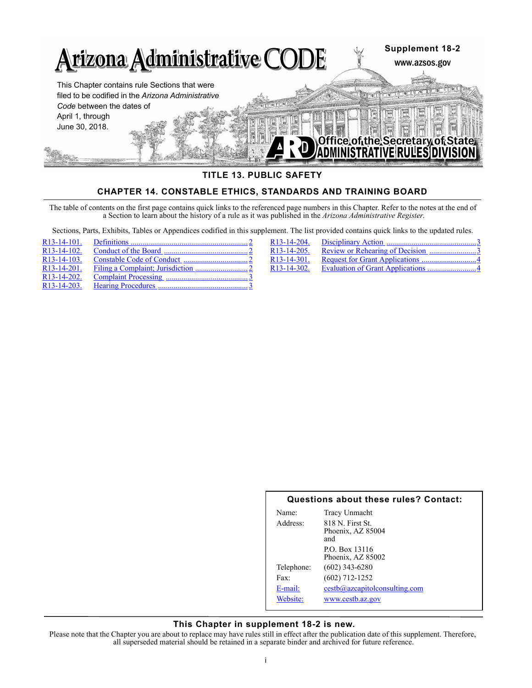

# **TITLE 13. PUBLIC SAFETY**

# **CHAPTER 14. CONSTABLE ETHICS, STANDARDS AND TRAINING BOARD**

The table of contents on the first page contains quick links to the referenced page numbers in this Chapter. Refer to the notes at the end of a Section to learn about the history of a rule as it was published in the *Arizona Administrative Register*.

Sections, Parts, Exhibits, Tables or Appendices codified in this supplement. The list provided contains quick links to the updated rules.

| R <sub>13</sub> -14-101. |  |
|--------------------------|--|
| R <sub>13</sub> -14-102. |  |
| R <sub>13</sub> -14-103. |  |
| $R13 - 14 - 201$ .       |  |
| $R13-14-202$ .           |  |
| R <sub>13</sub> -14-203. |  |

| R <sub>13</sub> -14-204. |                                   |  |
|--------------------------|-----------------------------------|--|
| R13-14-205.              | Review or Rehearing of Decision 3 |  |
| R13-14-301.              |                                   |  |
| R13-14-302.              |                                   |  |

## **Questions about these rules? Contact:**

| Name:      | Tracy Unmacht                           |
|------------|-----------------------------------------|
| Address:   | $818$ N. First St.<br>Phoenix, AZ 85004 |
|            | and                                     |
|            | P.O. Box 13116                          |
|            | Phoenix, AZ 85002                       |
| Telephone: | $(602)$ 343-6280                        |
| Fax:       | $(602)$ 712-1252                        |
| E-mail:    | $cestb@$ azcapitolconsulting.com        |
| Website:   | www.cestb.az.gov                        |
|            |                                         |

## **This Chapter in supplement 18-2 is new.**

Please note that the Chapter you are about to replace may have rules still in effect after the publication date of this supplement. Therefore, all superseded material should be retained in a separate binder and archived for future reference.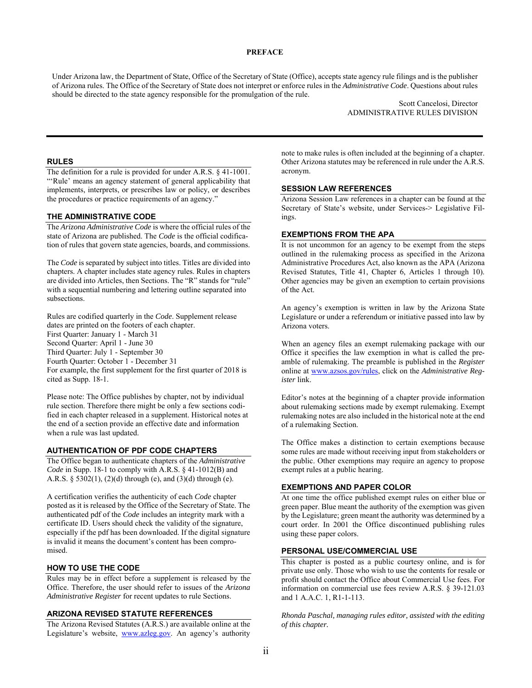#### **PREFACE**

Under Arizona law, the Department of State, Office of the Secretary of State (Office), accepts state agency rule filings and is the publisher of Arizona rules. The Office of the Secretary of State does not interpret or enforce rules in the *Administrative Code*. Questions about rules should be directed to the state agency responsible for the promulgation of the rule.

> Scott Cancelosi, Director ADMINISTRATIVE RULES DIVISION

## **RULES**

The definition for a rule is provided for under A.R.S. § 41-1001. "'Rule' means an agency statement of general applicability that implements, interprets, or prescribes law or policy, or describes the procedures or practice requirements of an agency."

### **THE ADMINISTRATIVE CODE**

The *Arizona Administrative Code* is where the official rules of the state of Arizona are published. The *Code* is the official codification of rules that govern state agencies, boards, and commissions.

The *Code* is separated by subject into titles. Titles are divided into chapters. A chapter includes state agency rules. Rules in chapters are divided into Articles, then Sections. The "R" stands for "rule" with a sequential numbering and lettering outline separated into subsections.

Rules are codified quarterly in the *Code*. Supplement release dates are printed on the footers of each chapter. First Quarter: January 1 - March 31 Second Quarter: April 1 - June 30 Third Quarter: July 1 - September 30 Fourth Quarter: October 1 - December 31 For example, the first supplement for the first quarter of 2018 is cited as Supp. 18-1.

Please note: The Office publishes by chapter, not by individual rule section. Therefore there might be only a few sections codified in each chapter released in a supplement. Historical notes at the end of a section provide an effective date and information when a rule was last updated.

#### **AUTHENTICATION OF PDF CODE CHAPTERS**

The Office began to authenticate chapters of the *Administrative Code* in Supp. 18-1 to comply with A.R.S. § 41-1012(B) and A.R.S. § 5302(1), (2)(d) through (e), and (3)(d) through (e).

A certification verifies the authenticity of each *Code* chapter posted as it is released by the Office of the Secretary of State. The authenticated pdf of the *Code* includes an integrity mark with a certificate ID. Users should check the validity of the signature, especially if the pdf has been downloaded. If the digital signature is invalid it means the document's content has been compromised.

## **HOW TO USE THE CODE**

Rules may be in effect before a supplement is released by the Office. Therefore, the user should refer to issues of the *Arizona Administrative Register* for recent updates to rule Sections.

#### **ARIZONA REVISED STATUTE REFERENCES**

The Arizona Revised Statutes (A.R.S.) are available online at the Legislature's website, www.azleg.gov. An agency's authority

note to make rules is often included at the beginning of a chapter. Other Arizona statutes may be referenced in rule under the A.R.S. acronym.

## **SESSION LAW REFERENCES**

Arizona Session Law references in a chapter can be found at the Secretary of State's website, under Services-> Legislative Filings.

## **EXEMPTIONS FROM THE APA**

It is not uncommon for an agency to be exempt from the steps outlined in the rulemaking process as specified in the Arizona Administrative Procedures Act, also known as the APA (Arizona Revised Statutes, Title 41, Chapter 6, Articles 1 through 10). Other agencies may be given an exemption to certain provisions of the Act.

An agency's exemption is written in law by the Arizona State Legislature or under a referendum or initiative passed into law by Arizona voters.

When an agency files an exempt rulemaking package with our Office it specifies the law exemption in what is called the preamble of rulemaking. The preamble is published in the *Register* online at www.azsos.gov/rules, click on the *Administrative Register* link.

Editor's notes at the beginning of a chapter provide information about rulemaking sections made by exempt rulemaking. Exempt rulemaking notes are also included in the historical note at the end of a rulemaking Section.

The Office makes a distinction to certain exemptions because some rules are made without receiving input from stakeholders or the public. Other exemptions may require an agency to propose exempt rules at a public hearing.

# **EXEMPTIONS AND PAPER COLOR**

At one time the office published exempt rules on either blue or green paper. Blue meant the authority of the exemption was given by the Legislature; green meant the authority was determined by a court order. In 2001 the Office discontinued publishing rules using these paper colors.

#### **PERSONAL USE/COMMERCIAL USE**

This chapter is posted as a public courtesy online, and is for private use only. Those who wish to use the contents for resale or profit should contact the Office about Commercial Use fees. For information on commercial use fees review A.R.S. § 39-121.03 and 1 A.A.C. 1, R1-1-113.

*Rhonda Paschal, managing rules editor, assisted with the editing of this chapter.*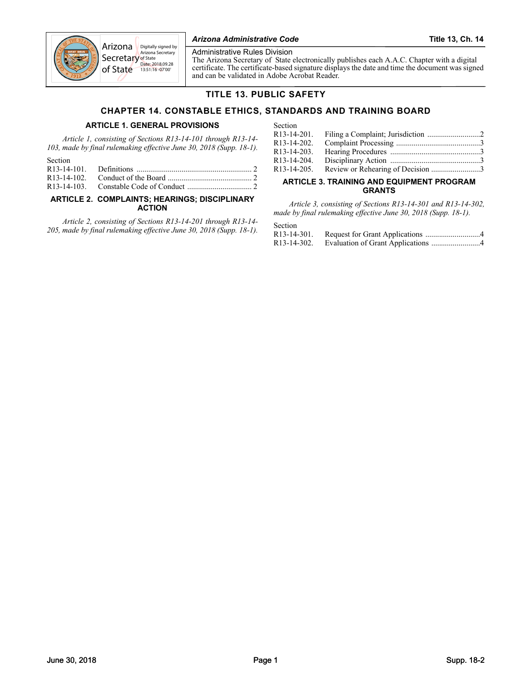

of State D<mark>ate:</mark> 2018.09.28<br>13:51:16 -07'00' Administrative Rules Division

The Arizona Secretary of State electronically publishes each A.A.C. Chapter with a digital certificate. The certificate-based signature displays the date and time the document was signed and can be validated in Adobe Acrobat Reader.

# **TITLE 13. PUBLIC SAFETY**

# **CHAPTER 14. CONSTABLE ETHICS, STANDARDS AND TRAINING BOARD**

# **ARTICLE 1. GENERAL PROVISIONS**

*Article 1, consisting of Sections R13-14-101 through R13-14- 103, made by final rulemaking effective June 30, 2018 (Supp. 18-1).*

| Section |  |
|---------|--|
|         |  |
|         |  |
|         |  |

## **[ARTICLE 2. COMPLAINTS; HEARINGS; DISCIPLINARY](#page-3-4)  ACTION**

*Article 2, consisting of Sections R13-14-201 through R13-14- 205, made by final rulemaking effective June 30, 2018 (Supp. 18-1).*

| Section                  |                                               |  |
|--------------------------|-----------------------------------------------|--|
|                          |                                               |  |
| R <sub>13</sub> -14-202. |                                               |  |
|                          |                                               |  |
| R <sub>13</sub> -14-204. |                                               |  |
|                          | R13-14-205. Review or Rehearing of Decision 3 |  |

## **[ARTICLE 3. TRAINING AND EQUIPMENT PROGRAM](#page-5-2)  GRANTS**

*Article 3, consisting of Sections R13-14-301 and R13-14-302, made by final rulemaking effective June 30, 2018 (Supp. 18-1).*

## Section

| R13-14-301. |                                                |
|-------------|------------------------------------------------|
|             | R13-14-302. Evaluation of Grant Applications 4 |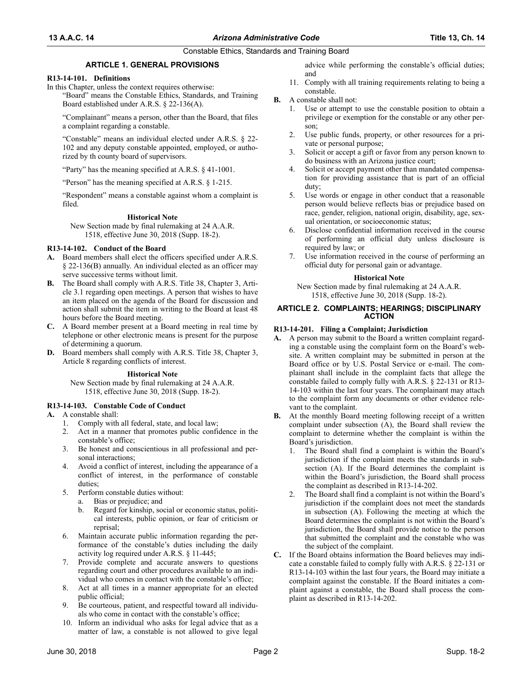## Constable Ethics, Standards and Training Board

# **ARTICLE 1. GENERAL PROVISIONS**

#### <span id="page-3-0"></span>**R13-14-101. Definitions**

In this Chapter, unless the context requires otherwise:

"Board" means the Constable Ethics, Standards, and Training Board established under A.R.S. § 22-136(A).

"Complainant" means a person, other than the Board, that files a complaint regarding a constable.

"Constable" means an individual elected under A.R.S. § 22- 102 and any deputy constable appointed, employed, or authorized by th county board of supervisors.

"Party" has the meaning specified at A.R.S. § 41-1001.

"Person" has the meaning specified at A.R.S. § 1-215.

"Respondent" means a constable against whom a complaint is filed.

#### **Historical Note**

New Section made by final rulemaking at 24 A.A.R. 1518, effective June 30, 2018 (Supp. 18-2).

#### <span id="page-3-1"></span>**R13-14-102. Conduct of the Board**

- **A.** Board members shall elect the officers specified under A.R.S. § 22-136(B) annually. An individual elected as an officer may serve successive terms without limit.
- **B.** The Board shall comply with A.R.S. Title 38, Chapter 3, Article 3.1 regarding open meetings. A person that wishes to have an item placed on the agenda of the Board for discussion and action shall submit the item in writing to the Board at least 48 hours before the Board meeting.
- **C.** A Board member present at a Board meeting in real time by telephone or other electronic means is present for the purpose of determining a quorum.
- **D.** Board members shall comply with A.R.S. Title 38, Chapter 3, Article 8 regarding conflicts of interest.

**Historical Note**

New Section made by final rulemaking at 24 A.A.R. 1518, effective June 30, 2018 (Supp. 18-2).

<span id="page-3-2"></span>**R13-14-103. Constable Code of Conduct**

- **A.** A constable shall:
	- 1. Comply with all federal, state, and local law;
	- 2. Act in a manner that promotes public confidence in the constable's office;
	- 3. Be honest and conscientious in all professional and personal interactions;
	- 4. Avoid a conflict of interest, including the appearance of a conflict of interest, in the performance of constable duties;
	- 5. Perform constable duties without:
		- a. Bias or prejudice; and
		- b. Regard for kinship, social or economic status, political interests, public opinion, or fear of criticism or reprisal;
	- 6. Maintain accurate public information regarding the performance of the constable's duties including the daily activity log required under A.R.S. § 11-445;
	- 7. Provide complete and accurate answers to questions regarding court and other procedures available to an individual who comes in contact with the constable's office;
	- 8. Act at all times in a manner appropriate for an elected public official;
	- 9. Be courteous, patient, and respectful toward all individuals who come in contact with the constable's office;
	- 10. Inform an individual who asks for legal advice that as a matter of law, a constable is not allowed to give legal

advice while performing the constable's official duties; and

- 11. Comply with all training requirements relating to being a constable.
- **B.** A constable shall not:
	- 1. Use or attempt to use the constable position to obtain a privilege or exemption for the constable or any other person;
	- 2. Use public funds, property, or other resources for a private or personal purpose;
	- 3. Solicit or accept a gift or favor from any person known to do business with an Arizona justice court;
	- Solicit or accept payment other than mandated compensation for providing assistance that is part of an official duty;
	- 5. Use words or engage in other conduct that a reasonable person would believe reflects bias or prejudice based on race, gender, religion, national origin, disability, age, sexual orientation, or socioeconomic status;
	- 6. Disclose confidential information received in the course of performing an official duty unless disclosure is required by law; or
	- 7. Use information received in the course of performing an official duty for personal gain or advantage.

#### **Historical Note**

New Section made by final rulemaking at 24 A.A.R. 1518, effective June 30, 2018 (Supp. 18-2).

#### <span id="page-3-4"></span>**ARTICLE 2. COMPLAINTS; HEARINGS; DISCIPLINARY ACTION**

#### <span id="page-3-3"></span>**R13-14-201. Filing a Complaint; Jurisdiction**

- **A.** A person may submit to the Board a written complaint regarding a constable using the complaint form on the Board's website. A written complaint may be submitted in person at the Board office or by U.S. Postal Service or e-mail. The complainant shall include in the complaint facts that allege the constable failed to comply fully with A.R.S. § 22-131 or R13- 14-103 within the last four years. The complainant may attach to the complaint form any documents or other evidence relevant to the complaint.
- **B.** At the monthly Board meeting following receipt of a written complaint under subsection (A), the Board shall review the complaint to determine whether the complaint is within the Board's jurisdiction.
	- 1. The Board shall find a complaint is within the Board's jurisdiction if the complaint meets the standards in subsection (A). If the Board determines the complaint is within the Board's jurisdiction, the Board shall process the complaint as described in R13-14-202.
	- 2. The Board shall find a complaint is not within the Board's jurisdiction if the complaint does not meet the standards in subsection (A). Following the meeting at which the Board determines the complaint is not within the Board's jurisdiction, the Board shall provide notice to the person that submitted the complaint and the constable who was the subject of the complaint.
- **C.** If the Board obtains information the Board believes may indicate a constable failed to comply fully with A.R.S. § 22-131 or R13-14-103 within the last four years, the Board may initiate a complaint against the constable. If the Board initiates a complaint against a constable, the Board shall process the complaint as described in R13-14-202.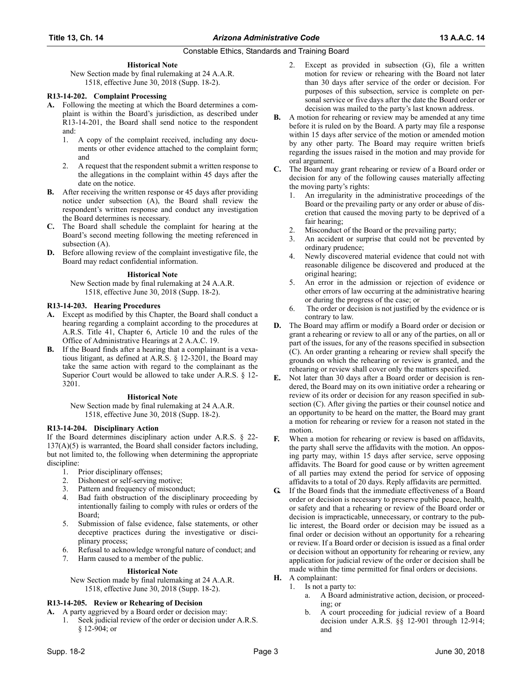## Constable Ethics, Standards and Training Board

## **Historical Note**

New Section made by final rulemaking at 24 A.A.R. 1518, effective June 30, 2018 (Supp. 18-2).

## <span id="page-4-0"></span>**R13-14-202. Complaint Processing**

- **A.** Following the meeting at which the Board determines a complaint is within the Board's jurisdiction, as described under R13-14-201, the Board shall send notice to the respondent and:
	- 1. A copy of the complaint received, including any documents or other evidence attached to the complaint form; and
	- 2. A request that the respondent submit a written response to the allegations in the complaint within 45 days after the date on the notice.
- **B.** After receiving the written response or 45 days after providing notice under subsection (A), the Board shall review the respondent's written response and conduct any investigation the Board determines is necessary.
- **C.** The Board shall schedule the complaint for hearing at the Board's second meeting following the meeting referenced in subsection (A).
- **D.** Before allowing review of the complaint investigative file, the Board may redact confidential information.

## **Historical Note**

New Section made by final rulemaking at 24 A.A.R. 1518, effective June 30, 2018 (Supp. 18-2).

## <span id="page-4-1"></span>**R13-14-203. Hearing Procedures**

- **A.** Except as modified by this Chapter, the Board shall conduct a hearing regarding a complaint according to the procedures at A.R.S. Title 41, Chapter 6, Article 10 and the rules of the Office of Administrative Hearings at 2 A.A.C. 19.
- **B.** If the Board finds after a hearing that a complainant is a vexatious litigant, as defined at A.R.S. § 12-3201, the Board may take the same action with regard to the complainant as the Superior Court would be allowed to take under A.R.S. § 12- 3201.

#### **Historical Note**

New Section made by final rulemaking at 24 A.A.R. 1518, effective June 30, 2018 (Supp. 18-2).

#### <span id="page-4-2"></span>**R13-14-204. Disciplinary Action**

If the Board determines disciplinary action under A.R.S. § 22- 137(A)(5) is warranted, the Board shall consider factors including, but not limited to, the following when determining the appropriate discipline:

- 1. Prior disciplinary offenses;
- 2. Dishonest or self-serving motive;
- 3. Pattern and frequency of misconduct;
- 4. Bad faith obstruction of the disciplinary proceeding by intentionally failing to comply with rules or orders of the Board;
- 5. Submission of false evidence, false statements, or other deceptive practices during the investigative or disciplinary process;
- 6. Refusal to acknowledge wrongful nature of conduct; and
- 7. Harm caused to a member of the public.

#### **Historical Note**

New Section made by final rulemaking at 24 A.A.R. 1518, effective June 30, 2018 (Supp. 18-2).

#### <span id="page-4-3"></span>**R13-14-205. Review or Rehearing of Decision**

**A.** A party aggrieved by a Board order or decision may:

1. Seek judicial review of the order or decision under A.R.S. § 12-904; or

- 2. Except as provided in subsection (G), file a written motion for review or rehearing with the Board not later than 30 days after service of the order or decision. For purposes of this subsection, service is complete on personal service or five days after the date the Board order or decision was mailed to the party's last known address.
- **B.** A motion for rehearing or review may be amended at any time before it is ruled on by the Board. A party may file a response within 15 days after service of the motion or amended motion by any other party. The Board may require written briefs regarding the issues raised in the motion and may provide for oral argument.
- **C.** The Board may grant rehearing or review of a Board order or decision for any of the following causes materially affecting the moving party's rights:
	- 1. An irregularity in the administrative proceedings of the Board or the prevailing party or any order or abuse of discretion that caused the moving party to be deprived of a fair hearing;
	- 2. Misconduct of the Board or the prevailing party;
	- 3. An accident or surprise that could not be prevented by ordinary prudence;
	- 4. Newly discovered material evidence that could not with reasonable diligence be discovered and produced at the original hearing;
	- 5. An error in the admission or rejection of evidence or other errors of law occurring at the administrative hearing or during the progress of the case; or
	- 6. The order or decision is not justified by the evidence or is contrary to law.
- **D.** The Board may affirm or modify a Board order or decision or grant a rehearing or review to all or any of the parties, on all or part of the issues, for any of the reasons specified in subsection (C). An order granting a rehearing or review shall specify the grounds on which the rehearing or review is granted, and the rehearing or review shall cover only the matters specified.
- **E.** Not later than 30 days after a Board order or decision is rendered, the Board may on its own initiative order a rehearing or review of its order or decision for any reason specified in subsection (C). After giving the parties or their counsel notice and an opportunity to be heard on the matter, the Board may grant a motion for rehearing or review for a reason not stated in the motion.
- **F.** When a motion for rehearing or review is based on affidavits, the party shall serve the affidavits with the motion. An opposing party may, within 15 days after service, serve opposing affidavits. The Board for good cause or by written agreement of all parties may extend the period for service of opposing affidavits to a total of 20 days. Reply affidavits are permitted.
- **G.** If the Board finds that the immediate effectiveness of a Board order or decision is necessary to preserve public peace, health, or safety and that a rehearing or review of the Board order or decision is impracticable, unnecessary, or contrary to the public interest, the Board order or decision may be issued as a final order or decision without an opportunity for a rehearing or review. If a Board order or decision is issued as a final order or decision without an opportunity for rehearing or review, any application for judicial review of the order or decision shall be made within the time permitted for final orders or decisions.
- **H.** A complainant:
	- 1. Is not a party to:
		- a. A Board administrative action, decision, or proceeding; or
		- b. A court proceeding for judicial review of a Board decision under A.R.S. §§ 12-901 through 12-914; and